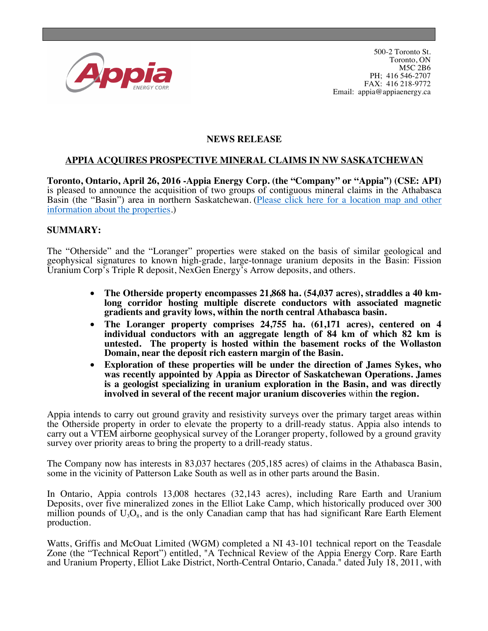

## **NEWS RELEASE**

## **APPIA ACQUIRES PROSPECTIVE MINERAL CLAIMS IN NW SASKATCHEWAN**

**Toronto, Ontario, April 26, 2016 -Appia Energy Corp. (the "Company" or "Appia") (CSE: API)** is pleased to announce the acquisition of two groups of contiguous mineral claims in the Athabasca Basin (the "Basin") area in northern Saskatchewan. [\(Please click here for a location map](http://appiaenergy.ca/files/Appia_SaskProperties.pdf) and other [information about the](http://appiaenergy.ca/files/Appia_SaskProperties.pdf) properties.)

## **SUMMARY:**

The "Otherside" and the "Loranger" properties were staked on the basis of similar geological and geophysical signatures to known high-grade, large-tonnage uranium deposits in the Basin: Fission Uranium Corp's Triple R deposit, NexGen Energy's Arrow deposits, and others.

- **The Otherside property encompasses 21,868 ha. (54,037 acres), straddles a 40 kmlong corridor hosting multiple discrete conductors with associated magnetic gradients and gravity lows, within the north central Athabasca basin.**
- **The Loranger property comprises 24,755 ha. (61,171 acres), centered on 4 individual conductors with an aggregate length of 84 km of which 82 km is untested. The property is hosted within the basement rocks of the Wollaston Domain, near the deposit rich eastern margin of the Basin.**
- **Exploration of these properties will be under the direction of James Sykes, who was recently appointed by Appia as Director of Saskatchewan Operations. James is a geologist specializing in uranium exploration in the Basin, and was directly involved in several of the recent major uranium discoveries** within **the region.**

Appia intends to carry out ground gravity and resistivity surveys over the primary target areas within the Otherside property in order to elevate the property to a drill-ready status. Appia also intends to carry out a VTEM airborne geophysical survey of the Loranger property, followed by a ground gravity survey over priority areas to bring the property to a drill-ready status.

The Company now has interests in 83,037 hectares (205,185 acres) of claims in the Athabasca Basin, some in the vicinity of Patterson Lake South as well as in other parts around the Basin.

In Ontario, Appia controls 13,008 hectares (32,143 acres), including Rare Earth and Uranium Deposits, over five mineralized zones in the Elliot Lake Camp, which historically produced over 300 million pounds of  $U_3O_8$ , and is the only Canadian camp that has had significant Rare Earth Element production.

Watts, Griffis and McOuat Limited (WGM) completed a NI 43-101 technical report on the Teasdale Zone (the "Technical Report") entitled, "A Technical Review of the Appia Energy Corp. Rare Earth and Uranium Property, Elliot Lake District, North-Central Ontario, Canada." dated July 18, 2011, with